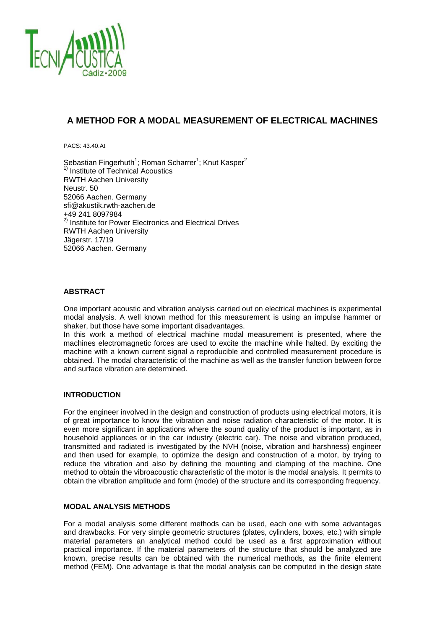

# **A METHOD FOR A MODAL MEASUREMENT OF ELECTRICAL MACHINES**

PACS: 43.40.At

Sebastian Fingerhuth<sup>1</sup>; Roman Scharrer<sup>1</sup>; Knut Kasper<sup>2</sup> <sup>1)</sup> Institute of Technical Acoustics RWTH Aachen University Neustr. 50 52066 Aachen. Germany sfi@akustik.rwth-aachen.de +49 241 8097984 <sup>2)</sup> Institute for Power Electronics and Electrical Drives RWTH Aachen University Jägerstr. 17/19 52066 Aachen. Germany

# **ABSTRACT**

One important acoustic and vibration analysis carried out on electrical machines is experimental modal analysis. A well known method for this measurement is using an impulse hammer or shaker, but those have some important disadvantages.

In this work a method of electrical machine modal measurement is presented, where the machines electromagnetic forces are used to excite the machine while halted. By exciting the machine with a known current signal a reproducible and controlled measurement procedure is obtained. The modal characteristic of the machine as well as the transfer function between force and surface vibration are determined.

### **INTRODUCTION**

For the engineer involved in the design and construction of products using electrical motors, it is of great importance to know the vibration and noise radiation characteristic of the motor. It is even more significant in applications where the sound quality of the product is important, as in household appliances or in the car industry (electric car). The noise and vibration produced, transmitted and radiated is investigated by the NVH (noise, vibration and harshness) engineer and then used for example, to optimize the design and construction of a motor, by trying to reduce the vibration and also by defining the mounting and clamping of the machine. One method to obtain the vibroacoustic characteristic of the motor is the modal analysis. It permits to obtain the vibration amplitude and form (mode) of the structure and its corresponding frequency.

## **MODAL ANALYSIS METHODS**

For a modal analysis some different methods can be used, each one with some advantages and drawbacks. For very simple geometric structures (plates, cylinders, boxes, etc.) with simple material parameters an analytical method could be used as a first approximation without practical importance. If the material parameters of the structure that should be analyzed are known, precise results can be obtained with the numerical methods, as the finite element method (FEM). One advantage is that the modal analysis can be computed in the design state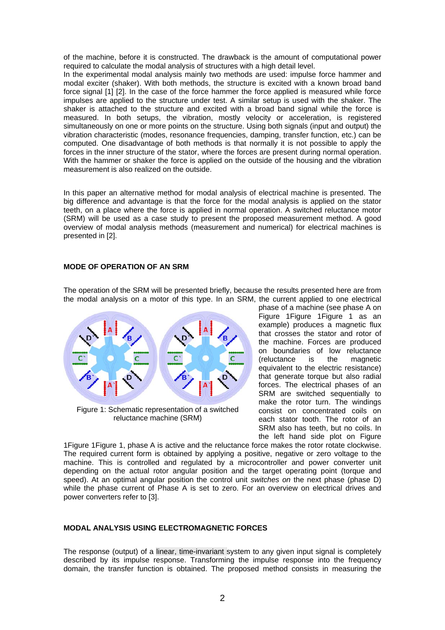of the machine, before it is constructed. The drawback is the amount of computational power required to calculate the modal analysis of structures with a high detail level.

In the experimental modal analysis mainly two methods are used: impulse force hammer and modal exciter (shaker). With both methods, the structure is excited with a known broad band force signal [1] [2]. In the case of the force hammer the force applied is measured while force impulses are applied to the structure under test. A similar setup is used with the shaker. The shaker is attached to the structure and excited with a broad band signal while the force is measured. In both setups, the vibration, mostly velocity or acceleration, is registered simultaneously on one or more points on the structure. Using both signals (input and output) the vibration characteristic (modes, resonance frequencies, damping, transfer function, etc.) can be computed. One disadvantage of both methods is that normally it is not possible to apply the forces in the inner structure of the stator, where the forces are present during normal operation. With the hammer or shaker the force is applied on the outside of the housing and the vibration measurement is also realized on the outside.

In this paper an alternative method for modal analysis of electrical machine is presented. The big difference and advantage is that the force for the modal analysis is applied on the stator teeth, on a place where the force is applied in normal operation. A switched reluctance motor (SRM) will be used as a case study to present the proposed measurement method. A good overview of modal analysis methods (measurement and numerical) for electrical machines is presented in [2].

## **MODE OF OPERATION OF AN SRM**

The operation of the SRM will be presented briefly, because the results presented here are from the modal analysis on a motor of this type. In an SRM, the current applied to one electrical



Figure 1: Schematic representation of a switched reluctance machine (SRM)

phase of a machine (see phase A on Figure 1Figure 1Figure 1 as an example) produces a magnetic flux that crosses the stator and rotor of the machine. Forces are produced on boundaries of low reluctance (reluctance is the magnetic equivalent to the electric resistance) that generate torque but also radial forces. The electrical phases of an SRM are switched sequentially to make the rotor turn. The windings consist on concentrated coils on each stator tooth. The rotor of an SRM also has teeth, but no coils. In the left hand side plot on Figure

1Figure 1Figure 1, phase A is active and the reluctance force makes the rotor rotate clockwise. The required current form is obtained by applying a positive, negative or zero voltage to the machine. This is controlled and regulated by a microcontroller and power converter unit depending on the actual rotor angular position and the target operating point (torque and speed). At an optimal angular position the control unit *switches on* the next phase (phase D) while the phase current of Phase A is set to zero. For an overview on electrical drives and power converters refer to [3].

# **MODAL ANALYSIS USING ELECTROMAGNETIC FORCES**

The response (output) of a linear, time-invariant system to any given input signal is completely described by its impulse response. Transforming the impulse response into the frequency domain, the transfer function is obtained. The proposed method consists in measuring the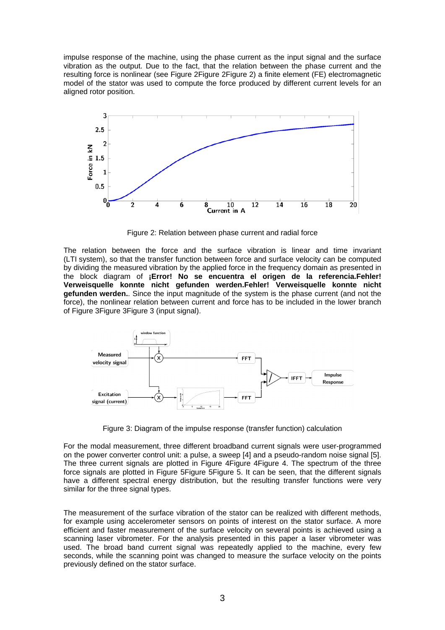impulse response of the machine, using the phase current as the input signal and the surface vibration as the output. Due to the fact, that the relation between the phase current and the resulting force is nonlinear (see Figure 2Figure 2Figure 2) a finite element (FE) electromagnetic model of the stator was used to compute the force produced by different current levels for an aligned rotor position.



Figure 2: Relation between phase current and radial force

The relation between the force and the surface vibration is linear and time invariant (LTI system), so that the transfer function between force and surface velocity can be computed by dividing the measured vibration by the applied force in the frequency domain as presented in the block diagram of **¡Error! No se encuentra el origen de la referencia.Fehler! Verweisquelle konnte nicht gefunden werden.Fehler! Verweisquelle konnte nicht gefunden werden.**. Since the input magnitude of the system is the phase current (and not the force), the nonlinear relation between current and force has to be included in the lower branch of Figure 3Figure 3Figure 3 (input signal).



Figure 3: Diagram of the impulse response (transfer function) calculation

For the modal measurement, three different broadband current signals were user-programmed on the power converter control unit: a pulse, a sweep [4] and a pseudo-random noise signal [5]. The three current signals are plotted in Figure 4Figure 4Figure 4. The spectrum of the three force signals are plotted in Figure 5Figure 5Figure 5. It can be seen, that the different signals have a different spectral energy distribution, but the resulting transfer functions were very similar for the three signal types.

The measurement of the surface vibration of the stator can be realized with different methods, for example using accelerometer sensors on points of interest on the stator surface. A more efficient and faster measurement of the surface velocity on several points is achieved using a scanning laser vibrometer. For the analysis presented in this paper a laser vibrometer was used. The broad band current signal was repeatedly applied to the machine, every few seconds, while the scanning point was changed to measure the surface velocity on the points previously defined on the stator surface.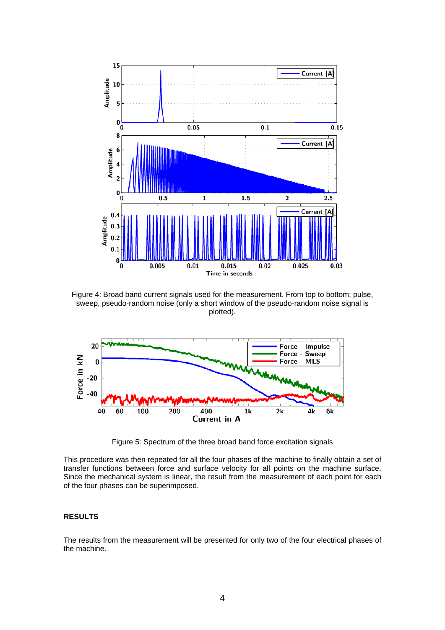

Figure 4: Broad band current signals used for the measurement. From top to bottom: pulse, sweep, pseudo-random noise (only a short window of the pseudo-random noise signal is plotted).



Figure 5: Spectrum of the three broad band force excitation signals

This procedure was then repeated for all the four phases of the machine to finally obtain a set of transfer functions between force and surface velocity for all points on the machine surface. Since the mechanical system is linear, the result from the measurement of each point for each of the four phases can be superimposed.

#### **RESULTS**

The results from the measurement will be presented for only two of the four electrical phases of the machine.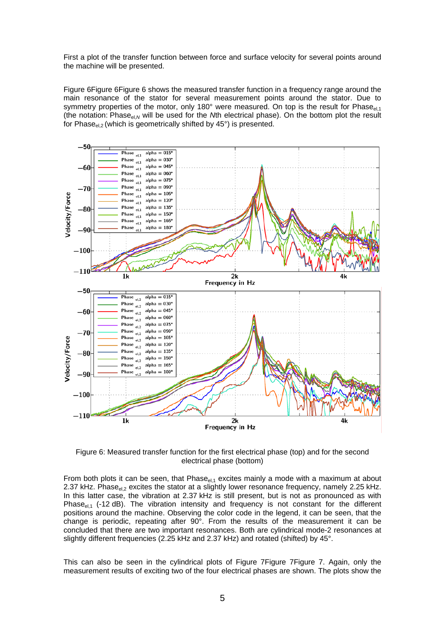First a plot of the transfer function between force and surface velocity for several points around the machine will be presented.

Figure 6Figure 6Figure 6 shows the measured transfer function in a frequency range around the main resonance of the stator for several measurement points around the stator. Due to symmetry properties of the motor, only 180 $^{\circ}$  were measured. On top is the result for Phase<sub>el 1</sub> (the notation: Phase<sub>el,N</sub> will be used for the *N*th electrical phase). On the bottom plot the result for Phase $_{el,2}$  (which is geometrically shifted by 45 $^{\circ}$ ) is presented.



Figure 6: Measured transfer function for the first electrical phase (top) and for the second electrical phase (bottom)

From both plots it can be seen, that  $Phase_{el,1}$  excites mainly a mode with a maximum at about 2.37 kHz. Phase $_{el,2}$  excites the stator at a slightly lower resonance frequency, namely 2.25 kHz. In this latter case, the vibration at 2.37 kHz is still present, but is not as pronounced as with Phase $_{el,1}$  (-12 dB). The vibration intensity and frequency is not constant for the different positions around the machine. Observing the color code in the legend, it can be seen, that the change is periodic, repeating after 90°. From the results of the measurement it can be concluded that there are two important resonances. Both are cylindrical mode-2 resonances at slightly different frequencies (2.25 kHz and 2.37 kHz) and rotated (shifted) by 45°.

This can also be seen in the cylindrical plots of Figure 7Figure 7Figure 7. Again, only the measurement results of exciting two of the four electrical phases are shown. The plots show the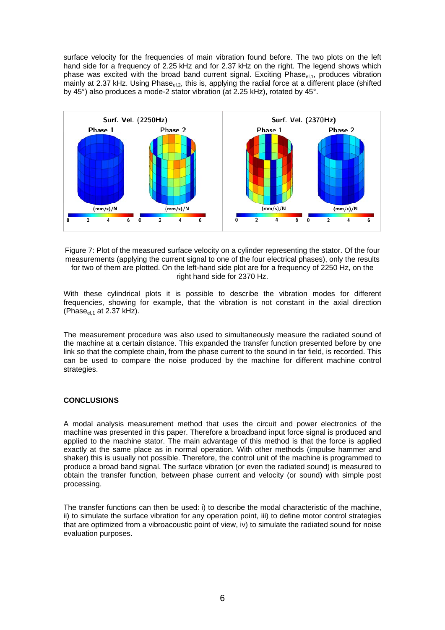surface velocity for the frequencies of main vibration found before. The two plots on the left hand side for a frequency of 2.25 kHz and for 2.37 kHz on the right. The legend shows which phase was excited with the broad band current signal. Exciting  $P$ hase $_{el,1}$ , produces vibration mainly at 2.37 kHz. Using Phase<sub>el.2</sub>, this is, applying the radial force at a different place (shifted by 45°) also produces a mode-2 stator vibration (at 2.25 kHz), rotated by 45°.



Figure 7: Plot of the measured surface velocity on a cylinder representing the stator. Of the four measurements (applying the current signal to one of the four electrical phases), only the results for two of them are plotted. On the left-hand side plot are for a frequency of 2250 Hz, on the right hand side for 2370 Hz.

With these cylindrical plots it is possible to describe the vibration modes for different frequencies, showing for example, that the vibration is not constant in the axial direction (Phase $_{el,1}$  at 2.37 kHz).

The measurement procedure was also used to simultaneously measure the radiated sound of the machine at a certain distance. This expanded the transfer function presented before by one link so that the complete chain, from the phase current to the sound in far field, is recorded. This can be used to compare the noise produced by the machine for different machine control strategies.

# **CONCLUSIONS**

A modal analysis measurement method that uses the circuit and power electronics of the machine was presented in this paper. Therefore a broadband input force signal is produced and applied to the machine stator. The main advantage of this method is that the force is applied exactly at the same place as in normal operation. With other methods (impulse hammer and shaker) this is usually not possible. Therefore, the control unit of the machine is programmed to produce a broad band signal. The surface vibration (or even the radiated sound) is measured to obtain the transfer function, between phase current and velocity (or sound) with simple post processing.

The transfer functions can then be used: i) to describe the modal characteristic of the machine, ii) to simulate the surface vibration for any operation point, iii) to define motor control strategies that are optimized from a vibroacoustic point of view, iv) to simulate the radiated sound for noise evaluation purposes.